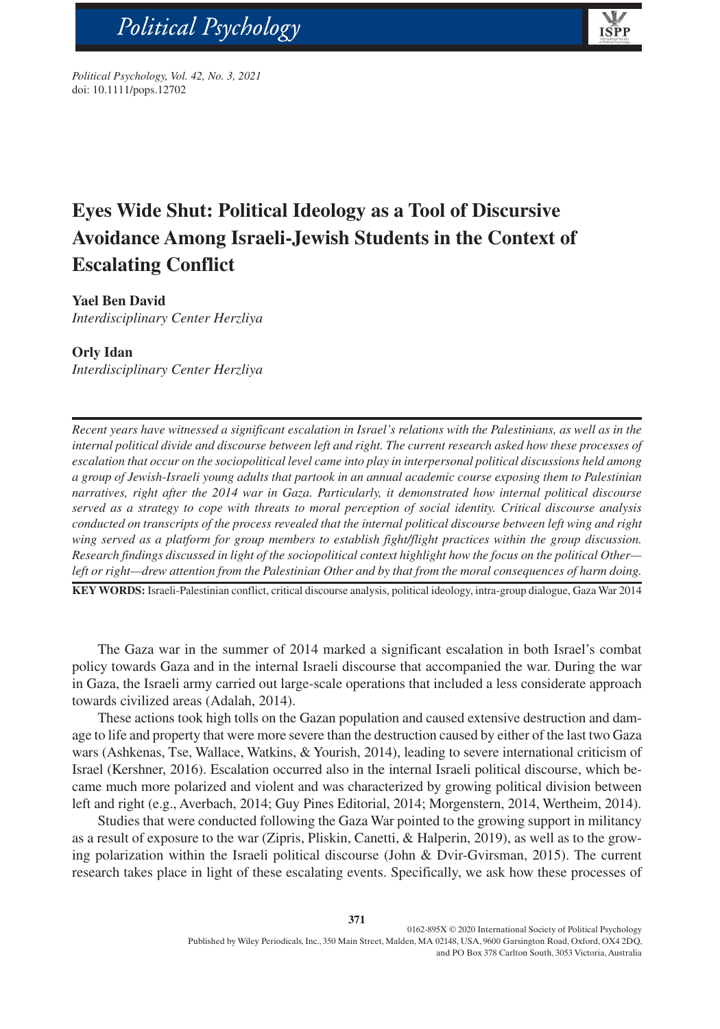

*Political Psychology, Vol. 42, No. 3, 2021* doi: 10.1111/pops.12702

# **Eyes Wide Shut: Political Ideology as a Tool of Discursive Avoidance Among Israeli-Jewish Students in the Context of Escalating Conflict**

## **Yael Ben David**

*Interdisciplinary Center Herzliya*

## **Orly Idan**

bs\_bs\_banner

*Interdisciplinary Center Herzliya*

*Recent years have witnessed a significant escalation in Israel's relations with the Palestinians, as well as in the internal political divide and discourse between left and right. The current research asked how these processes of escalation that occur on the sociopolitical level came into play in interpersonal political discussions held among a group of Jewish-Israeli young adults that partook in an annual academic course exposing them to Palestinian narratives, right after the 2014 war in Gaza. Particularly, it demonstrated how internal political discourse served as a strategy to cope with threats to moral perception of social identity. Critical discourse analysis conducted on transcripts of the process revealed that the internal political discourse between left wing and right*  wing served as a platform for group members to establish fight/flight practices within the group discussion. *Research findings discussed in light of the sociopolitical context highlight how the focus on the political Other left or right—drew attention from the Palestinian Other and by that from the moral consequences of harm doing.*

**KEY WORDS:** Israeli-Palestinian conflict, critical discourse analysis, political ideology, intra-group dialogue, Gaza War 2014

The Gaza war in the summer of 2014 marked a significant escalation in both Israel's combat policy towards Gaza and in the internal Israeli discourse that accompanied the war. During the war in Gaza, the Israeli army carried out large-scale operations that included a less considerate approach towards civilized areas (Adalah, 2014).

These actions took high tolls on the Gazan population and caused extensive destruction and damage to life and property that were more severe than the destruction caused by either of the last two Gaza wars (Ashkenas, Tse, Wallace, Watkins, & Yourish, 2014), leading to severe international criticism of Israel (Kershner, 2016). Escalation occurred also in the internal Israeli political discourse, which became much more polarized and violent and was characterized by growing political division between left and right (e.g., Averbach, 2014; Guy Pines Editorial, 2014; Morgenstern, 2014, Wertheim, 2014).

Studies that were conducted following the Gaza War pointed to the growing support in militancy as a result of exposure to the war (Zipris, Pliskin, Canetti, & Halperin, 2019), as well as to the growing polarization within the Israeli political discourse (John & Dvir-Gvirsman, 2015). The current research takes place in light of these escalating events. Specifically, we ask how these processes of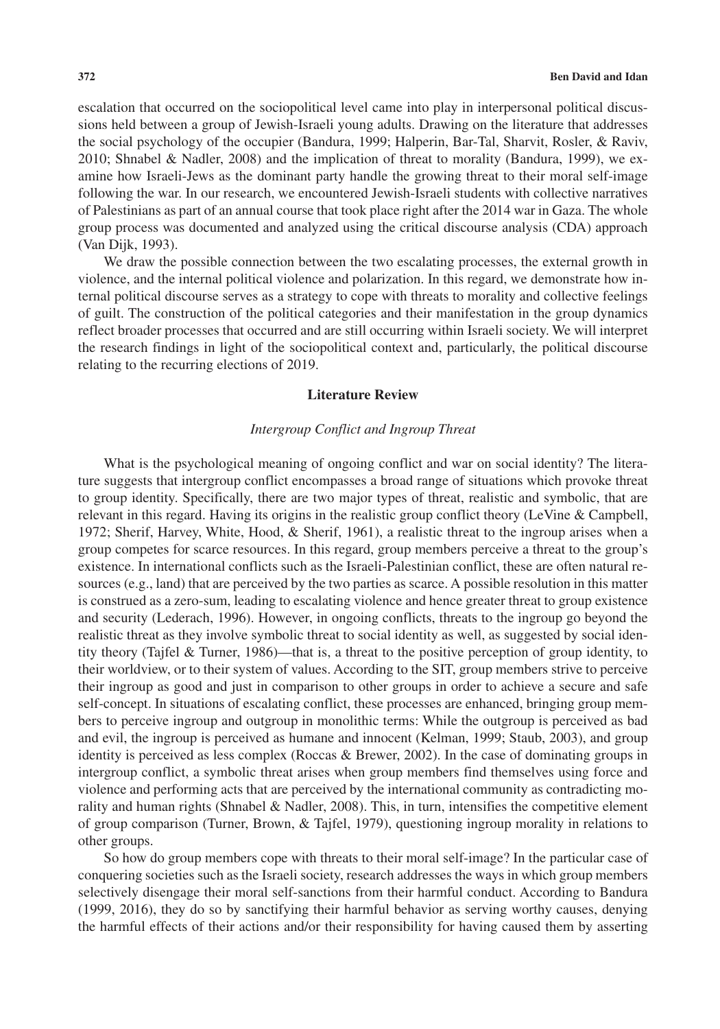escalation that occurred on the sociopolitical level came into play in interpersonal political discussions held between a group of Jewish-Israeli young adults. Drawing on the literature that addresses the social psychology of the occupier (Bandura, 1999; Halperin, Bar-Tal, Sharvit, Rosler, & Raviv, 2010; Shnabel & Nadler, 2008) and the implication of threat to morality (Bandura, 1999), we examine how Israeli-Jews as the dominant party handle the growing threat to their moral self-image following the war. In our research, we encountered Jewish-Israeli students with collective narratives of Palestinians as part of an annual course that took place right after the 2014 war in Gaza. The whole group process was documented and analyzed using the critical discourse analysis (CDA) approach (Van Dijk, 1993).

We draw the possible connection between the two escalating processes, the external growth in violence, and the internal political violence and polarization. In this regard, we demonstrate how internal political discourse serves as a strategy to cope with threats to morality and collective feelings of guilt. The construction of the political categories and their manifestation in the group dynamics reflect broader processes that occurred and are still occurring within Israeli society. We will interpret the research findings in light of the sociopolitical context and, particularly, the political discourse relating to the recurring elections of 2019.

#### **Literature Review**

## *Intergroup Conflict and Ingroup Threat*

What is the psychological meaning of ongoing conflict and war on social identity? The literature suggests that intergroup conflict encompasses a broad range of situations which provoke threat to group identity. Specifically, there are two major types of threat, realistic and symbolic, that are relevant in this regard. Having its origins in the realistic group conflict theory (LeVine & Campbell, 1972; Sherif, Harvey, White, Hood, & Sherif, 1961), a realistic threat to the ingroup arises when a group competes for scarce resources. In this regard, group members perceive a threat to the group's existence. In international conflicts such as the Israeli-Palestinian conflict, these are often natural resources (e.g., land) that are perceived by the two parties as scarce. A possible resolution in this matter is construed as a zero-sum, leading to escalating violence and hence greater threat to group existence and security (Lederach, 1996). However, in ongoing conflicts, threats to the ingroup go beyond the realistic threat as they involve symbolic threat to social identity as well, as suggested by social identity theory (Tajfel & Turner, 1986)—that is, a threat to the positive perception of group identity, to their worldview, or to their system of values. According to the SIT, group members strive to perceive their ingroup as good and just in comparison to other groups in order to achieve a secure and safe self-concept. In situations of escalating conflict, these processes are enhanced, bringing group members to perceive ingroup and outgroup in monolithic terms: While the outgroup is perceived as bad and evil, the ingroup is perceived as humane and innocent (Kelman, 1999; Staub, 2003), and group identity is perceived as less complex (Roccas & Brewer, 2002). In the case of dominating groups in intergroup conflict, a symbolic threat arises when group members find themselves using force and violence and performing acts that are perceived by the international community as contradicting morality and human rights (Shnabel & Nadler, 2008). This, in turn, intensifies the competitive element of group comparison (Turner, Brown, & Tajfel, 1979), questioning ingroup morality in relations to other groups.

So how do group members cope with threats to their moral self-image? In the particular case of conquering societies such as the Israeli society, research addresses the ways in which group members selectively disengage their moral self-sanctions from their harmful conduct. According to Bandura (1999, 2016), they do so by sanctifying their harmful behavior as serving worthy causes, denying the harmful effects of their actions and/or their responsibility for having caused them by asserting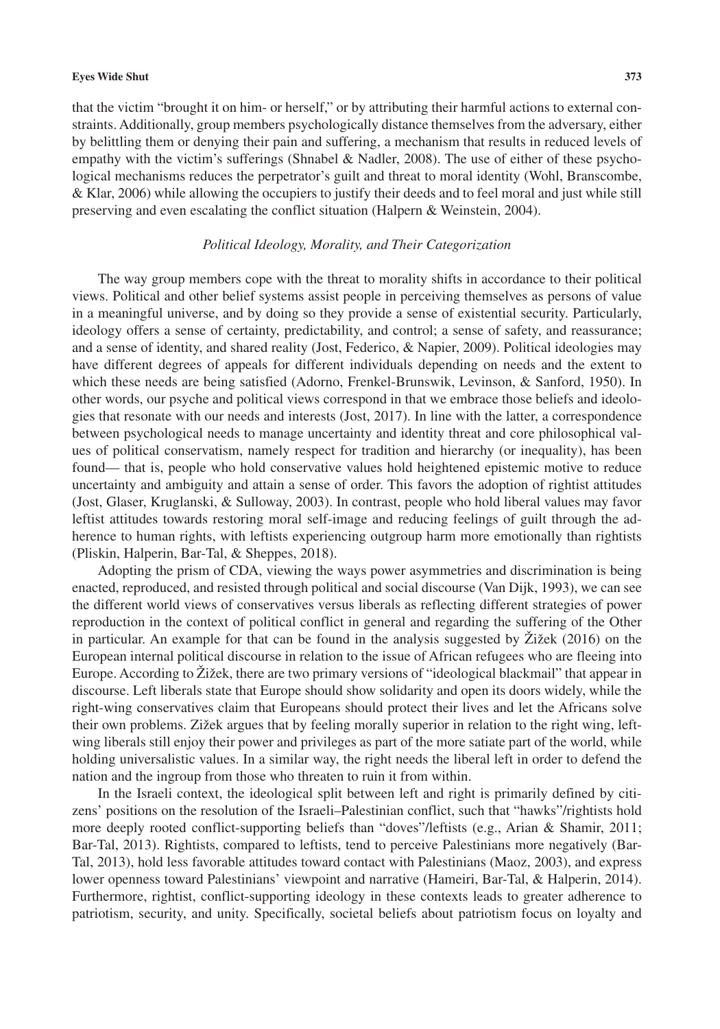that the victim "brought it on him- or herself," or by attributing their harmful actions to external constraints. Additionally, group members psychologically distance themselves from the adversary, either by belittling them or denying their pain and suffering, a mechanism that results in reduced levels of empathy with the victim's sufferings (Shnabel & Nadler, 2008). The use of either of these psychological mechanisms reduces the perpetrator's guilt and threat to moral identity (Wohl, Branscombe, & Klar, 2006) while allowing the occupiers to justify their deeds and to feel moral and just while still preserving and even escalating the conflict situation (Halpern & Weinstein, 2004).

## *Political Ideology, Morality, and Their Categorization*

The way group members cope with the threat to morality shifts in accordance to their political views. Political and other belief systems assist people in perceiving themselves as persons of value in a meaningful universe, and by doing so they provide a sense of existential security. Particularly, ideology offers a sense of certainty, predictability, and control; a sense of safety, and reassurance; and a sense of identity, and shared reality (Jost, Federico, & Napier, 2009). Political ideologies may have different degrees of appeals for different individuals depending on needs and the extent to which these needs are being satisfied (Adorno, Frenkel-Brunswik, Levinson, & Sanford, 1950). In other words, our psyche and political views correspond in that we embrace those beliefs and ideologies that resonate with our needs and interests (Jost, 2017). In line with the latter, a correspondence between psychological needs to manage uncertainty and identity threat and core philosophical values of political conservatism, namely respect for tradition and hierarchy (or inequality), has been found— that is, people who hold conservative values hold heightened epistemic motive to reduce uncertainty and ambiguity and attain a sense of order. This favors the adoption of rightist attitudes (Jost, Glaser, Kruglanski, & Sulloway, 2003). In contrast, people who hold liberal values may favor leftist attitudes towards restoring moral self-image and reducing feelings of guilt through the adherence to human rights, with leftists experiencing outgroup harm more emotionally than rightists (Pliskin, Halperin, Bar-Tal, & Sheppes, 2018).

Adopting the prism of CDA, viewing the ways power asymmetries and discrimination is being enacted, reproduced, and resisted through political and social discourse (Van Dijk, 1993), we can see the different world views of conservatives versus liberals as reflecting different strategies of power reproduction in the context of political conflict in general and regarding the suffering of the Other in particular. An example for that can be found in the analysis suggested by Žižek (2016) on the European internal political discourse in relation to the issue of African refugees who are fleeing into Europe. According to Žižek, there are two primary versions of "ideological blackmail" that appear in discourse. Left liberals state that Europe should show solidarity and open its doors widely, while the right-wing conservatives claim that Europeans should protect their lives and let the Africans solve their own problems. Zižek argues that by feeling morally superior in relation to the right wing, leftwing liberals still enjoy their power and privileges as part of the more satiate part of the world, while holding universalistic values. In a similar way, the right needs the liberal left in order to defend the nation and the ingroup from those who threaten to ruin it from within.

In the Israeli context, the ideological split between left and right is primarily defined by citizens' positions on the resolution of the Israeli–Palestinian conflict, such that "hawks"/rightists hold more deeply rooted conflict-supporting beliefs than "doves"/leftists (e.g., Arian & Shamir, 2011; Bar-Tal, 2013). Rightists, compared to leftists, tend to perceive Palestinians more negatively (Bar-Tal, 2013), hold less favorable attitudes toward contact with Palestinians (Maoz, 2003), and express lower openness toward Palestinians' viewpoint and narrative (Hameiri, Bar-Tal, & Halperin, 2014). Furthermore, rightist, conflict-supporting ideology in these contexts leads to greater adherence to patriotism, security, and unity. Specifically, societal beliefs about patriotism focus on loyalty and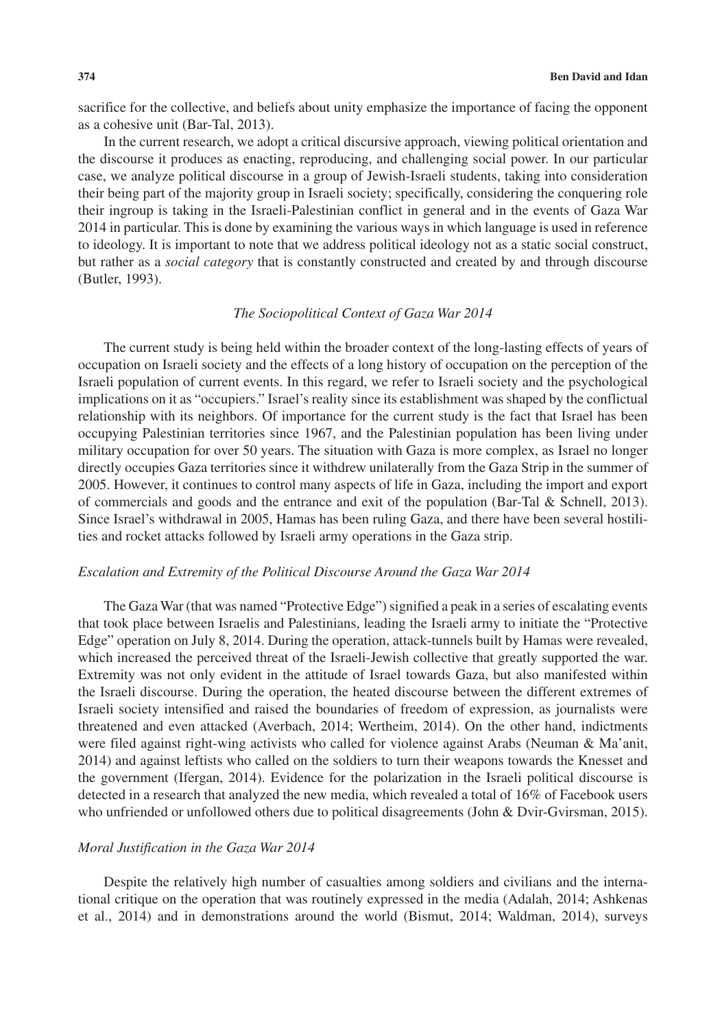sacrifice for the collective, and beliefs about unity emphasize the importance of facing the opponent as a cohesive unit (Bar-Tal, 2013).

In the current research, we adopt a critical discursive approach, viewing political orientation and the discourse it produces as enacting, reproducing, and challenging social power. In our particular case, we analyze political discourse in a group of Jewish-Israeli students, taking into consideration their being part of the majority group in Israeli society; specifically, considering the conquering role their ingroup is taking in the Israeli-Palestinian conflict in general and in the events of Gaza War 2014 in particular. This is done by examining the various ways in which language is used in reference to ideology. It is important to note that we address political ideology not as a static social construct, but rather as a *social category* that is constantly constructed and created by and through discourse (Butler, 1993).

## *The Sociopolitical Context of Gaza War 2014*

The current study is being held within the broader context of the long-lasting effects of years of occupation on Israeli society and the effects of a long history of occupation on the perception of the Israeli population of current events. In this regard, we refer to Israeli society and the psychological implications on it as "occupiers." Israel's reality since its establishment was shaped by the conflictual relationship with its neighbors. Of importance for the current study is the fact that Israel has been occupying Palestinian territories since 1967, and the Palestinian population has been living under military occupation for over 50 years. The situation with Gaza is more complex, as Israel no longer directly occupies Gaza territories since it withdrew unilaterally from the Gaza Strip in the summer of 2005. However, it continues to control many aspects of life in Gaza, including the import and export of commercials and goods and the entrance and exit of the population (Bar-Tal & Schnell, 2013). Since Israel's withdrawal in 2005, Hamas has been ruling Gaza, and there have been several hostilities and rocket attacks followed by Israeli army operations in the Gaza strip.

## *Escalation and Extremity of the Political Discourse Around the Gaza War 2014*

The Gaza War (that was named "Protective Edge") signified a peak in a series of escalating events that took place between Israelis and Palestinians, leading the Israeli army to initiate the "Protective Edge" operation on July 8, 2014. During the operation, attack-tunnels built by Hamas were revealed, which increased the perceived threat of the Israeli-Jewish collective that greatly supported the war. Extremity was not only evident in the attitude of Israel towards Gaza, but also manifested within the Israeli discourse. During the operation, the heated discourse between the different extremes of Israeli society intensified and raised the boundaries of freedom of expression, as journalists were threatened and even attacked (Averbach, 2014; Wertheim, 2014). On the other hand, indictments were filed against right-wing activists who called for violence against Arabs (Neuman & Ma'anit, 2014) and against leftists who called on the soldiers to turn their weapons towards the Knesset and the government (Ifergan, 2014). Evidence for the polarization in the Israeli political discourse is detected in a research that analyzed the new media, which revealed a total of 16% of Facebook users who unfriended or unfollowed others due to political disagreements (John & Dvir-Gvirsman, 2015).

#### *Moral Justification in the Gaza War 2014*

Despite the relatively high number of casualties among soldiers and civilians and the international critique on the operation that was routinely expressed in the media (Adalah, 2014; Ashkenas et al., 2014) and in demonstrations around the world (Bismut, 2014; Waldman, 2014), surveys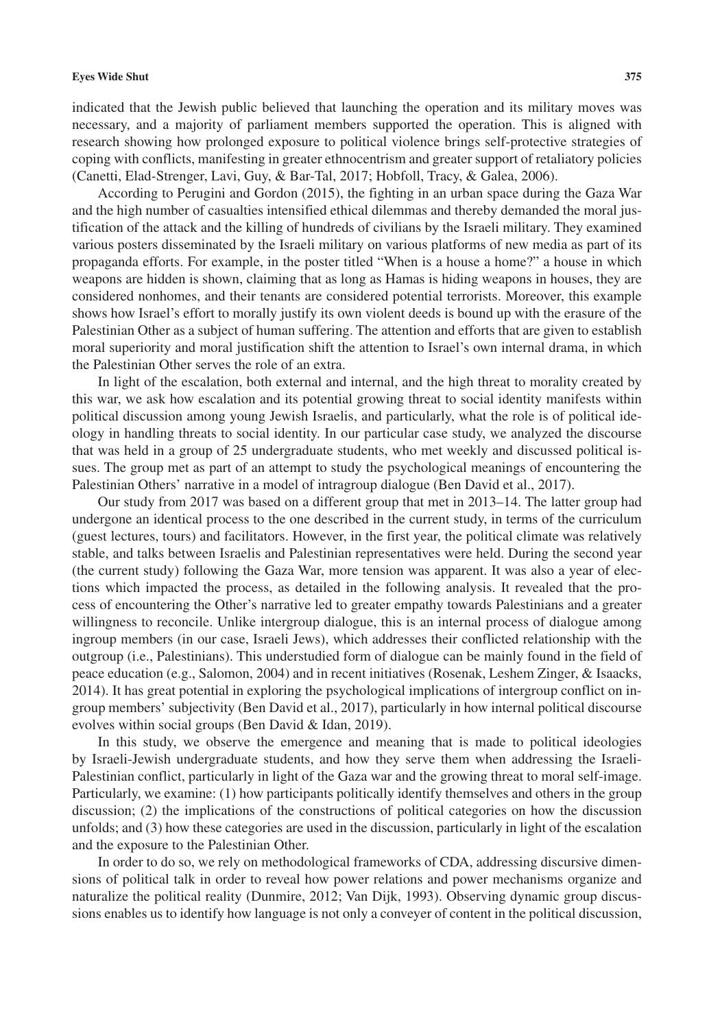indicated that the Jewish public believed that launching the operation and its military moves was necessary, and a majority of parliament members supported the operation. This is aligned with research showing how prolonged exposure to political violence brings self-protective strategies of coping with conflicts, manifesting in greater ethnocentrism and greater support of retaliatory policies (Canetti, Elad-Strenger, Lavi, Guy, & Bar-Tal, 2017; Hobfoll, Tracy, & Galea, 2006).

According to Perugini and Gordon (2015), the fighting in an urban space during the Gaza War and the high number of casualties intensified ethical dilemmas and thereby demanded the moral justification of the attack and the killing of hundreds of civilians by the Israeli military. They examined various posters disseminated by the Israeli military on various platforms of new media as part of its propaganda efforts. For example, in the poster titled "When is a house a home?" a house in which weapons are hidden is shown, claiming that as long as Hamas is hiding weapons in houses, they are considered nonhomes, and their tenants are considered potential terrorists. Moreover, this example shows how Israel's effort to morally justify its own violent deeds is bound up with the erasure of the Palestinian Other as a subject of human suffering. The attention and efforts that are given to establish moral superiority and moral justification shift the attention to Israel's own internal drama, in which the Palestinian Other serves the role of an extra.

In light of the escalation, both external and internal, and the high threat to morality created by this war, we ask how escalation and its potential growing threat to social identity manifests within political discussion among young Jewish Israelis, and particularly, what the role is of political ideology in handling threats to social identity. In our particular case study, we analyzed the discourse that was held in a group of 25 undergraduate students, who met weekly and discussed political issues. The group met as part of an attempt to study the psychological meanings of encountering the Palestinian Others' narrative in a model of intragroup dialogue (Ben David et al., 2017).

Our study from 2017 was based on a different group that met in 2013–14. The latter group had undergone an identical process to the one described in the current study, in terms of the curriculum (guest lectures, tours) and facilitators. However, in the first year, the political climate was relatively stable, and talks between Israelis and Palestinian representatives were held. During the second year (the current study) following the Gaza War, more tension was apparent. It was also a year of elections which impacted the process, as detailed in the following analysis. It revealed that the process of encountering the Other's narrative led to greater empathy towards Palestinians and a greater willingness to reconcile. Unlike intergroup dialogue, this is an internal process of dialogue among ingroup members (in our case, Israeli Jews), which addresses their conflicted relationship with the outgroup (i.e., Palestinians). This understudied form of dialogue can be mainly found in the field of peace education (e.g., Salomon, 2004) and in recent initiatives (Rosenak, Leshem Zinger, & Isaacks, 2014). It has great potential in exploring the psychological implications of intergroup conflict on ingroup members' subjectivity (Ben David et al., 2017), particularly in how internal political discourse evolves within social groups (Ben David & Idan, 2019).

In this study, we observe the emergence and meaning that is made to political ideologies by Israeli-Jewish undergraduate students, and how they serve them when addressing the Israeli-Palestinian conflict, particularly in light of the Gaza war and the growing threat to moral self-image. Particularly, we examine: (1) how participants politically identify themselves and others in the group discussion; (2) the implications of the constructions of political categories on how the discussion unfolds; and (3) how these categories are used in the discussion, particularly in light of the escalation and the exposure to the Palestinian Other.

In order to do so, we rely on methodological frameworks of CDA, addressing discursive dimensions of political talk in order to reveal how power relations and power mechanisms organize and naturalize the political reality (Dunmire, 2012; Van Dijk, 1993). Observing dynamic group discussions enables us to identify how language is not only a conveyer of content in the political discussion,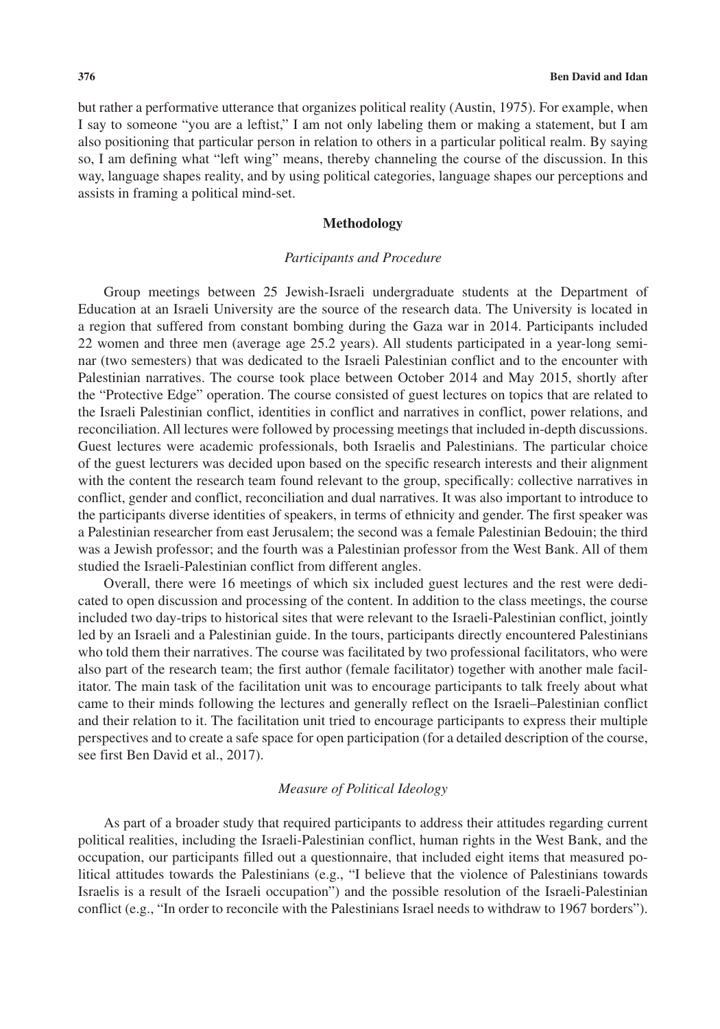but rather a performative utterance that organizes political reality (Austin, 1975). For example, when I say to someone "you are a leftist," I am not only labeling them or making a statement, but I am also positioning that particular person in relation to others in a particular political realm. By saying so, I am defining what "left wing" means, thereby channeling the course of the discussion. In this way, language shapes reality, and by using political categories, language shapes our perceptions and assists in framing a political mind-set.

#### **Methodology**

#### *Participants and Procedure*

Group meetings between 25 Jewish-Israeli undergraduate students at the Department of Education at an Israeli University are the source of the research data. The University is located in a region that suffered from constant bombing during the Gaza war in 2014. Participants included 22 women and three men (average age 25.2 years). All students participated in a year-long seminar (two semesters) that was dedicated to the Israeli Palestinian conflict and to the encounter with Palestinian narratives. The course took place between October 2014 and May 2015, shortly after the "Protective Edge" operation. The course consisted of guest lectures on topics that are related to the Israeli Palestinian conflict, identities in conflict and narratives in conflict, power relations, and reconciliation. All lectures were followed by processing meetings that included in-depth discussions. Guest lectures were academic professionals, both Israelis and Palestinians. The particular choice of the guest lecturers was decided upon based on the specific research interests and their alignment with the content the research team found relevant to the group, specifically: collective narratives in conflict, gender and conflict, reconciliation and dual narratives. It was also important to introduce to the participants diverse identities of speakers, in terms of ethnicity and gender. The first speaker was a Palestinian researcher from east Jerusalem; the second was a female Palestinian Bedouin; the third was a Jewish professor; and the fourth was a Palestinian professor from the West Bank. All of them studied the Israeli-Palestinian conflict from different angles.

Overall, there were 16 meetings of which six included guest lectures and the rest were dedicated to open discussion and processing of the content. In addition to the class meetings, the course included two day-trips to historical sites that were relevant to the Israeli-Palestinian conflict, jointly led by an Israeli and a Palestinian guide. In the tours, participants directly encountered Palestinians who told them their narratives. The course was facilitated by two professional facilitators, who were also part of the research team; the first author (female facilitator) together with another male facilitator. The main task of the facilitation unit was to encourage participants to talk freely about what came to their minds following the lectures and generally reflect on the Israeli–Palestinian conflict and their relation to it. The facilitation unit tried to encourage participants to express their multiple perspectives and to create a safe space for open participation (for a detailed description of the course, see first Ben David et al., 2017).

#### *Measure of Political Ideology*

As part of a broader study that required participants to address their attitudes regarding current political realities, including the Israeli-Palestinian conflict, human rights in the West Bank, and the occupation, our participants filled out a questionnaire, that included eight items that measured political attitudes towards the Palestinians (e.g., "I believe that the violence of Palestinians towards Israelis is a result of the Israeli occupation") and the possible resolution of the Israeli-Palestinian conflict (e.g., "In order to reconcile with the Palestinians Israel needs to withdraw to 1967 borders").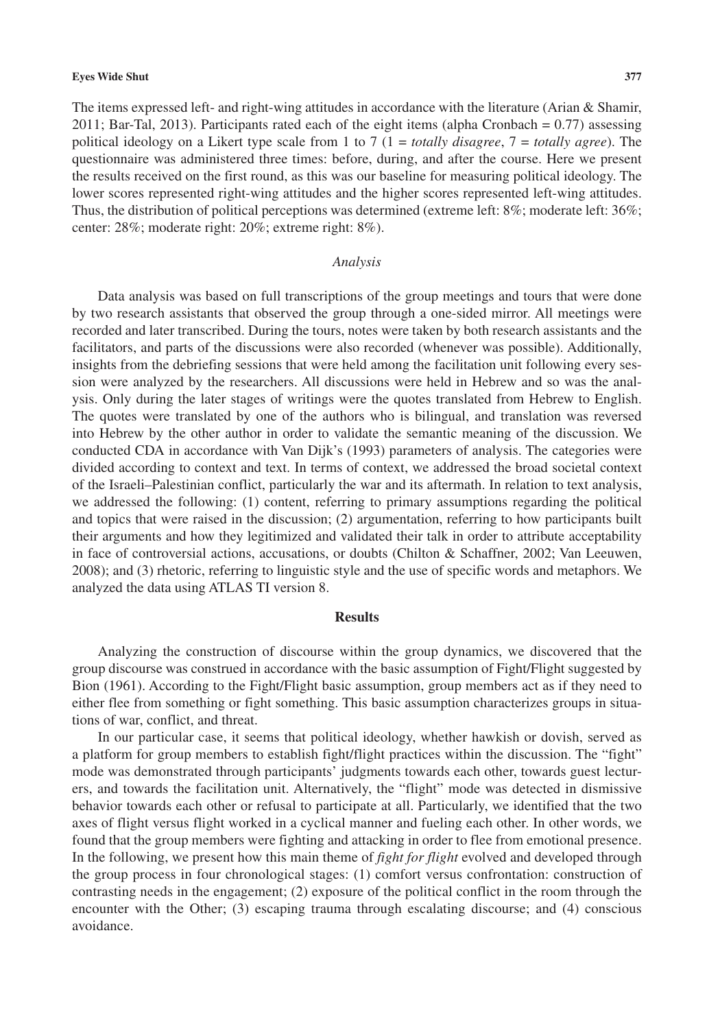The items expressed left- and right-wing attitudes in accordance with the literature (Arian & Shamir, 2011; Bar-Tal, 2013). Participants rated each of the eight items (alpha Cronbach = 0.77) assessing political ideology on a Likert type scale from 1 to 7 (1 = *totally disagree*, 7 = *totally agree*). The questionnaire was administered three times: before, during, and after the course. Here we present the results received on the first round, as this was our baseline for measuring political ideology. The lower scores represented right-wing attitudes and the higher scores represented left-wing attitudes. Thus, the distribution of political perceptions was determined (extreme left: 8%; moderate left: 36%; center: 28%; moderate right: 20%; extreme right: 8%).

## *Analysis*

Data analysis was based on full transcriptions of the group meetings and tours that were done by two research assistants that observed the group through a one-sided mirror. All meetings were recorded and later transcribed. During the tours, notes were taken by both research assistants and the facilitators, and parts of the discussions were also recorded (whenever was possible). Additionally, insights from the debriefing sessions that were held among the facilitation unit following every session were analyzed by the researchers. All discussions were held in Hebrew and so was the analysis. Only during the later stages of writings were the quotes translated from Hebrew to English. The quotes were translated by one of the authors who is bilingual, and translation was reversed into Hebrew by the other author in order to validate the semantic meaning of the discussion. We conducted CDA in accordance with Van Dijk's (1993) parameters of analysis. The categories were divided according to context and text. In terms of context, we addressed the broad societal context of the Israeli–Palestinian conflict, particularly the war and its aftermath. In relation to text analysis, we addressed the following: (1) content, referring to primary assumptions regarding the political and topics that were raised in the discussion; (2) argumentation, referring to how participants built their arguments and how they legitimized and validated their talk in order to attribute acceptability in face of controversial actions, accusations, or doubts (Chilton & Schaffner, 2002; Van Leeuwen, 2008); and (3) rhetoric, referring to linguistic style and the use of specific words and metaphors. We analyzed the data using ATLAS TI version 8.

#### **Results**

Analyzing the construction of discourse within the group dynamics, we discovered that the group discourse was construed in accordance with the basic assumption of Fight/Flight suggested by Bion (1961). According to the Fight/Flight basic assumption, group members act as if they need to either flee from something or fight something. This basic assumption characterizes groups in situations of war, conflict, and threat.

In our particular case, it seems that political ideology, whether hawkish or dovish, served as a platform for group members to establish fight/flight practices within the discussion. The "fight" mode was demonstrated through participants' judgments towards each other, towards guest lecturers, and towards the facilitation unit. Alternatively, the "flight" mode was detected in dismissive behavior towards each other or refusal to participate at all. Particularly, we identified that the two axes of flight versus flight worked in a cyclical manner and fueling each other. In other words, we found that the group members were fighting and attacking in order to flee from emotional presence. In the following, we present how this main theme of *fight for flight* evolved and developed through the group process in four chronological stages: (1) comfort versus confrontation: construction of contrasting needs in the engagement; (2) exposure of the political conflict in the room through the encounter with the Other; (3) escaping trauma through escalating discourse; and (4) conscious avoidance.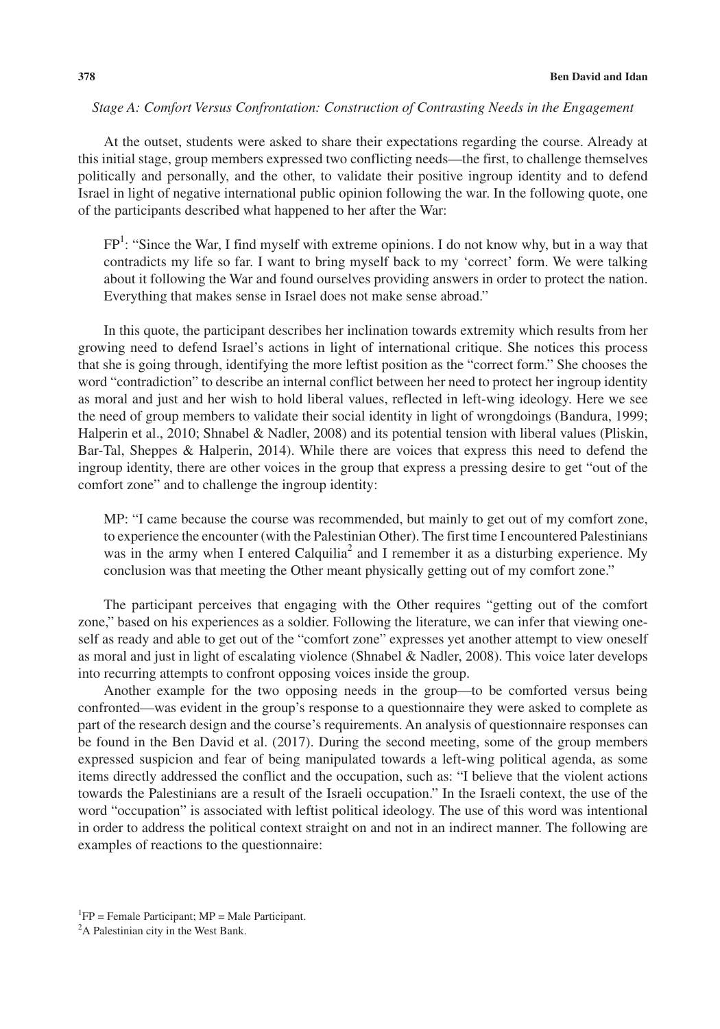## *Stage A: Comfort Versus Confrontation: Construction of Contrasting Needs in the Engagement*

At the outset, students were asked to share their expectations regarding the course. Already at this initial stage, group members expressed two conflicting needs—the first, to challenge themselves politically and personally, and the other, to validate their positive ingroup identity and to defend Israel in light of negative international public opinion following the war. In the following quote, one of the participants described what happened to her after the War:

 $FP<sup>1</sup>$ : "Since the War, I find myself with extreme opinions. I do not know why, but in a way that contradicts my life so far. I want to bring myself back to my 'correct' form. We were talking about it following the War and found ourselves providing answers in order to protect the nation. Everything that makes sense in Israel does not make sense abroad."

In this quote, the participant describes her inclination towards extremity which results from her growing need to defend Israel's actions in light of international critique. She notices this process that she is going through, identifying the more leftist position as the "correct form." She chooses the word "contradiction" to describe an internal conflict between her need to protect her ingroup identity as moral and just and her wish to hold liberal values, reflected in left-wing ideology. Here we see the need of group members to validate their social identity in light of wrongdoings (Bandura, 1999; Halperin et al., 2010; Shnabel & Nadler, 2008) and its potential tension with liberal values (Pliskin, Bar-Tal, Sheppes & Halperin, 2014). While there are voices that express this need to defend the ingroup identity, there are other voices in the group that express a pressing desire to get "out of the comfort zone" and to challenge the ingroup identity:

MP: "I came because the course was recommended, but mainly to get out of my comfort zone, to experience the encounter (with the Palestinian Other). The first time I encountered Palestinians was in the army when I entered Calquilia<sup>2</sup> and I remember it as a disturbing experience. My conclusion was that meeting the Other meant physically getting out of my comfort zone."

The participant perceives that engaging with the Other requires "getting out of the comfort zone," based on his experiences as a soldier. Following the literature, we can infer that viewing oneself as ready and able to get out of the "comfort zone" expresses yet another attempt to view oneself as moral and just in light of escalating violence (Shnabel & Nadler, 2008). This voice later develops into recurring attempts to confront opposing voices inside the group.

Another example for the two opposing needs in the group—to be comforted versus being confronted—was evident in the group's response to a questionnaire they were asked to complete as part of the research design and the course's requirements. An analysis of questionnaire responses can be found in the Ben David et al. (2017). During the second meeting, some of the group members expressed suspicion and fear of being manipulated towards a left-wing political agenda, as some items directly addressed the conflict and the occupation, such as: "I believe that the violent actions towards the Palestinians are a result of the Israeli occupation." In the Israeli context, the use of the word "occupation" is associated with leftist political ideology. The use of this word was intentional in order to address the political context straight on and not in an indirect manner. The following are examples of reactions to the questionnaire:

 ${}^{1}FP$  = Female Participant; MP = Male Participant.

<sup>&</sup>lt;sup>2</sup>A Palestinian city in the West Bank.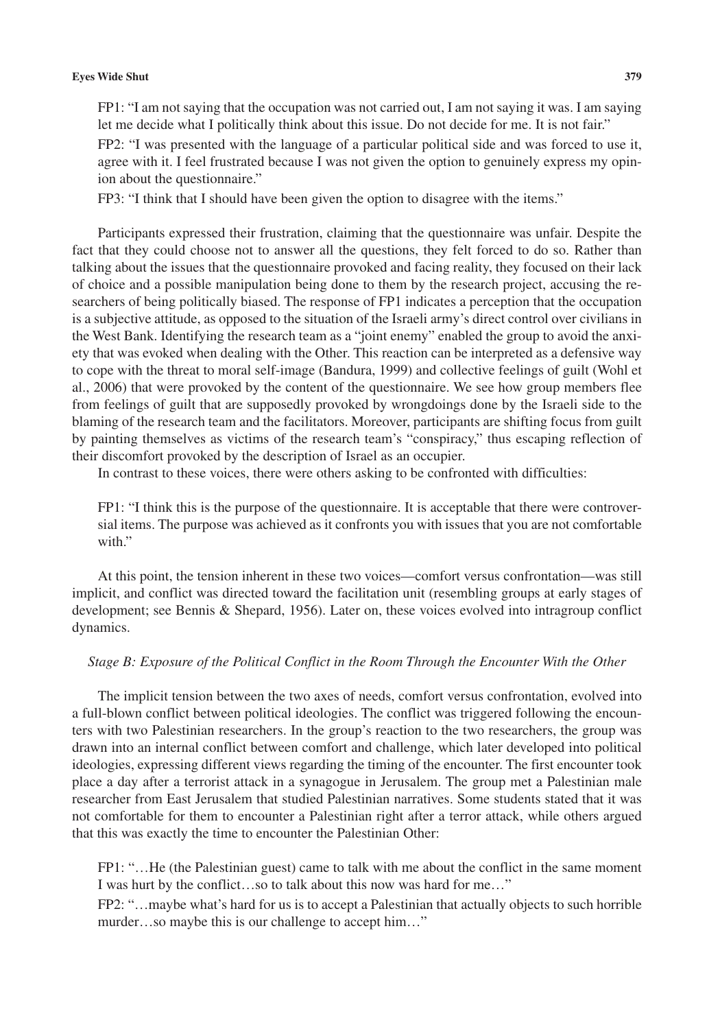FP1: "I am not saying that the occupation was not carried out, I am not saying it was. I am saying let me decide what I politically think about this issue. Do not decide for me. It is not fair." FP2: "I was presented with the language of a particular political side and was forced to use it, agree with it. I feel frustrated because I was not given the option to genuinely express my opinion about the questionnaire."

FP3: "I think that I should have been given the option to disagree with the items."

Participants expressed their frustration, claiming that the questionnaire was unfair. Despite the fact that they could choose not to answer all the questions, they felt forced to do so. Rather than talking about the issues that the questionnaire provoked and facing reality, they focused on their lack of choice and a possible manipulation being done to them by the research project, accusing the researchers of being politically biased. The response of FP1 indicates a perception that the occupation is a subjective attitude, as opposed to the situation of the Israeli army's direct control over civilians in the West Bank. Identifying the research team as a "joint enemy" enabled the group to avoid the anxiety that was evoked when dealing with the Other. This reaction can be interpreted as a defensive way to cope with the threat to moral self-image (Bandura, 1999) and collective feelings of guilt (Wohl et al., 2006) that were provoked by the content of the questionnaire. We see how group members flee from feelings of guilt that are supposedly provoked by wrongdoings done by the Israeli side to the blaming of the research team and the facilitators. Moreover, participants are shifting focus from guilt by painting themselves as victims of the research team's "conspiracy," thus escaping reflection of their discomfort provoked by the description of Israel as an occupier.

In contrast to these voices, there were others asking to be confronted with difficulties:

FP1: "I think this is the purpose of the questionnaire. It is acceptable that there were controversial items. The purpose was achieved as it confronts you with issues that you are not comfortable with."

At this point, the tension inherent in these two voices—comfort versus confrontation—was still implicit, and conflict was directed toward the facilitation unit (resembling groups at early stages of development; see Bennis & Shepard, 1956). Later on, these voices evolved into intragroup conflict dynamics.

## *Stage B: Exposure of the Political Conflict in the Room Through the Encounter With the Other*

The implicit tension between the two axes of needs, comfort versus confrontation, evolved into a full-blown conflict between political ideologies. The conflict was triggered following the encounters with two Palestinian researchers. In the group's reaction to the two researchers, the group was drawn into an internal conflict between comfort and challenge, which later developed into political ideologies, expressing different views regarding the timing of the encounter. The first encounter took place a day after a terrorist attack in a synagogue in Jerusalem. The group met a Palestinian male researcher from East Jerusalem that studied Palestinian narratives. Some students stated that it was not comfortable for them to encounter a Palestinian right after a terror attack, while others argued that this was exactly the time to encounter the Palestinian Other:

FP1: "…He (the Palestinian guest) came to talk with me about the conflict in the same moment I was hurt by the conflict…so to talk about this now was hard for me…"

FP2: "…maybe what's hard for us is to accept a Palestinian that actually objects to such horrible murder...so maybe this is our challenge to accept him..."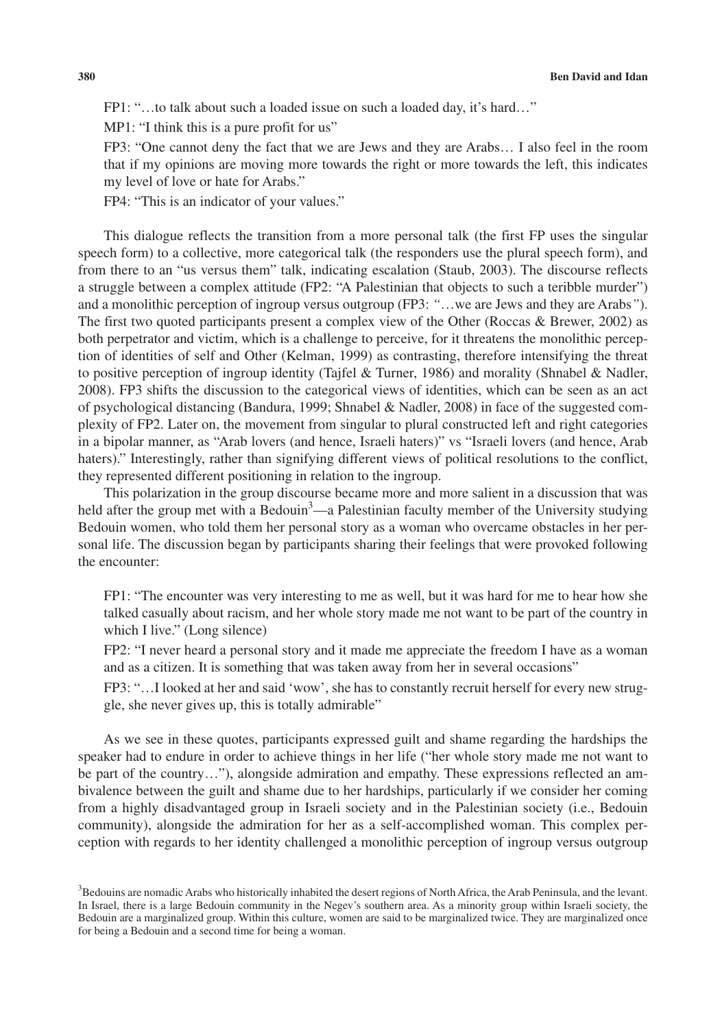FP1: "…to talk about such a loaded issue on such a loaded day, it's hard…"

MP1: "I think this is a pure profit for us"

FP3: "One cannot deny the fact that we are Jews and they are Arabs… I also feel in the room that if my opinions are moving more towards the right or more towards the left, this indicates my level of love or hate for Arabs."

FP4: "This is an indicator of your values."

This dialogue reflects the transition from a more personal talk (the first FP uses the singular speech form) to a collective, more categorical talk (the responders use the plural speech form), and from there to an "us versus them" talk, indicating escalation (Staub, 2003). The discourse reflects a struggle between a complex attitude (FP2: "A Palestinian that objects to such a teribble murder") and a monolithic perception of ingroup versus outgroup (FP3: *"*…we are Jews and they are Arabs*"*). The first two quoted participants present a complex view of the Other (Roccas & Brewer, 2002) as both perpetrator and victim, which is a challenge to perceive, for it threatens the monolithic perception of identities of self and Other (Kelman, 1999) as contrasting, therefore intensifying the threat to positive perception of ingroup identity (Tajfel & Turner, 1986) and morality (Shnabel & Nadler, 2008). FP3 shifts the discussion to the categorical views of identities, which can be seen as an act of psychological distancing (Bandura, 1999; Shnabel & Nadler, 2008) in face of the suggested complexity of FP2. Later on, the movement from singular to plural constructed left and right categories in a bipolar manner, as "Arab lovers (and hence, Israeli haters)" vs "Israeli lovers (and hence, Arab haters)." Interestingly, rather than signifying different views of political resolutions to the conflict, they represented different positioning in relation to the ingroup.

This polarization in the group discourse became more and more salient in a discussion that was held after the group met with a Bedouin<sup>3</sup>—a Palestinian faculty member of the University studying Bedouin women, who told them her personal story as a woman who overcame obstacles in her personal life. The discussion began by participants sharing their feelings that were provoked following the encounter:

FP1: "The encounter was very interesting to me as well, but it was hard for me to hear how she talked casually about racism, and her whole story made me not want to be part of the country in which I live." (Long silence)

FP2: "I never heard a personal story and it made me appreciate the freedom I have as a woman and as a citizen. It is something that was taken away from her in several occasions"

FP3: "...I looked at her and said 'wow', she has to constantly recruit herself for every new struggle, she never gives up, this is totally admirable"

As we see in these quotes, participants expressed guilt and shame regarding the hardships the speaker had to endure in order to achieve things in her life ("her whole story made me not want to be part of the country…"), alongside admiration and empathy. These expressions reflected an ambivalence between the guilt and shame due to her hardships, particularly if we consider her coming from a highly disadvantaged group in Israeli society and in the Palestinian society (i.e., Bedouin community), alongside the admiration for her as a self-accomplished woman. This complex perception with regards to her identity challenged a monolithic perception of ingroup versus outgroup

<sup>&</sup>lt;sup>3</sup>Bedouins are nomadic Arabs who historically inhabited the desert regions of North Africa, the Arab Peninsula, and the levant. In Israel, there is a large Bedouin community in the Negev's southern area. As a minority group within Israeli society, the Bedouin are a marginalized group. Within this culture, women are said to be marginalized twice. They are marginalized once for being a Bedouin and a second time for being a woman.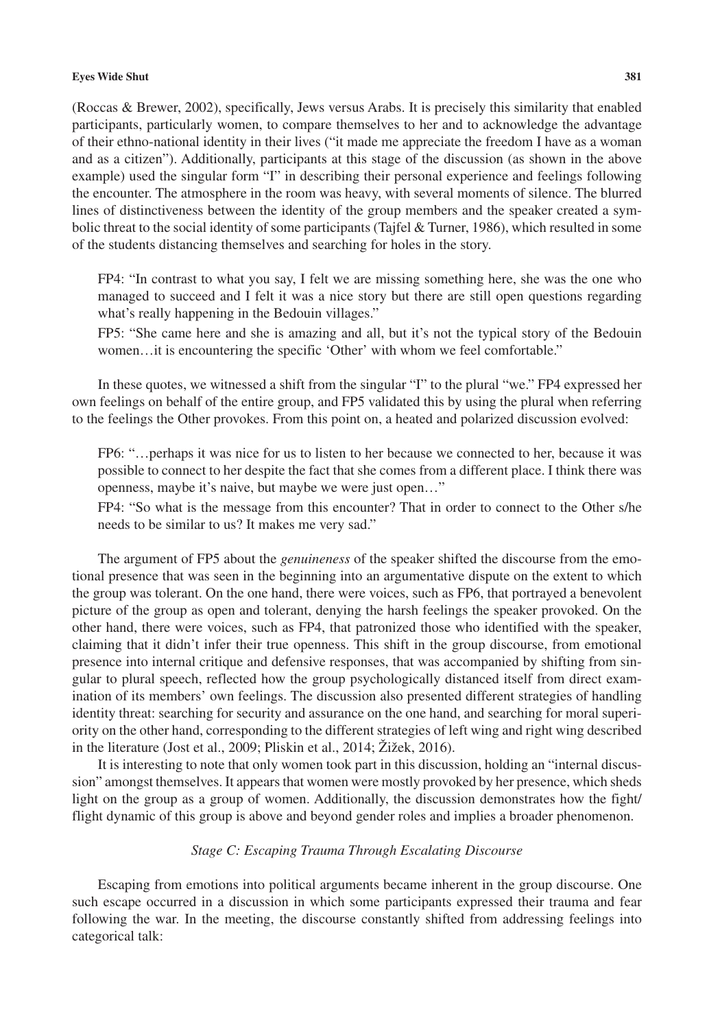(Roccas & Brewer, 2002), specifically, Jews versus Arabs. It is precisely this similarity that enabled participants, particularly women, to compare themselves to her and to acknowledge the advantage of their ethno-national identity in their lives ("it made me appreciate the freedom I have as a woman and as a citizen"). Additionally, participants at this stage of the discussion (as shown in the above example) used the singular form "I" in describing their personal experience and feelings following the encounter. The atmosphere in the room was heavy, with several moments of silence. The blurred lines of distinctiveness between the identity of the group members and the speaker created a symbolic threat to the social identity of some participants (Tajfel & Turner, 1986), which resulted in some of the students distancing themselves and searching for holes in the story.

FP4: "In contrast to what you say, I felt we are missing something here, she was the one who managed to succeed and I felt it was a nice story but there are still open questions regarding what's really happening in the Bedouin villages."

FP5: "She came here and she is amazing and all, but it's not the typical story of the Bedouin women…it is encountering the specific 'Other' with whom we feel comfortable."

In these quotes, we witnessed a shift from the singular "I" to the plural "we." FP4 expressed her own feelings on behalf of the entire group, and FP5 validated this by using the plural when referring to the feelings the Other provokes. From this point on, a heated and polarized discussion evolved:

FP6: "…perhaps it was nice for us to listen to her because we connected to her, because it was possible to connect to her despite the fact that she comes from a different place. I think there was openness, maybe it's naive, but maybe we were just open…"

FP4: "So what is the message from this encounter? That in order to connect to the Other s/he needs to be similar to us? It makes me very sad."

The argument of FP5 about the *genuineness* of the speaker shifted the discourse from the emotional presence that was seen in the beginning into an argumentative dispute on the extent to which the group was tolerant. On the one hand, there were voices, such as FP6, that portrayed a benevolent picture of the group as open and tolerant, denying the harsh feelings the speaker provoked. On the other hand, there were voices, such as FP4, that patronized those who identified with the speaker, claiming that it didn't infer their true openness. This shift in the group discourse, from emotional presence into internal critique and defensive responses, that was accompanied by shifting from singular to plural speech, reflected how the group psychologically distanced itself from direct examination of its members' own feelings. The discussion also presented different strategies of handling identity threat: searching for security and assurance on the one hand, and searching for moral superiority on the other hand, corresponding to the different strategies of left wing and right wing described in the literature (Jost et al., 2009; Pliskin et al., 2014; Žižek, 2016).

It is interesting to note that only women took part in this discussion, holding an "internal discussion" amongst themselves. It appears that women were mostly provoked by her presence, which sheds light on the group as a group of women. Additionally, the discussion demonstrates how the fight/ flight dynamic of this group is above and beyond gender roles and implies a broader phenomenon.

## *Stage C: Escaping Trauma Through Escalating Discourse*

Escaping from emotions into political arguments became inherent in the group discourse. One such escape occurred in a discussion in which some participants expressed their trauma and fear following the war. In the meeting, the discourse constantly shifted from addressing feelings into categorical talk: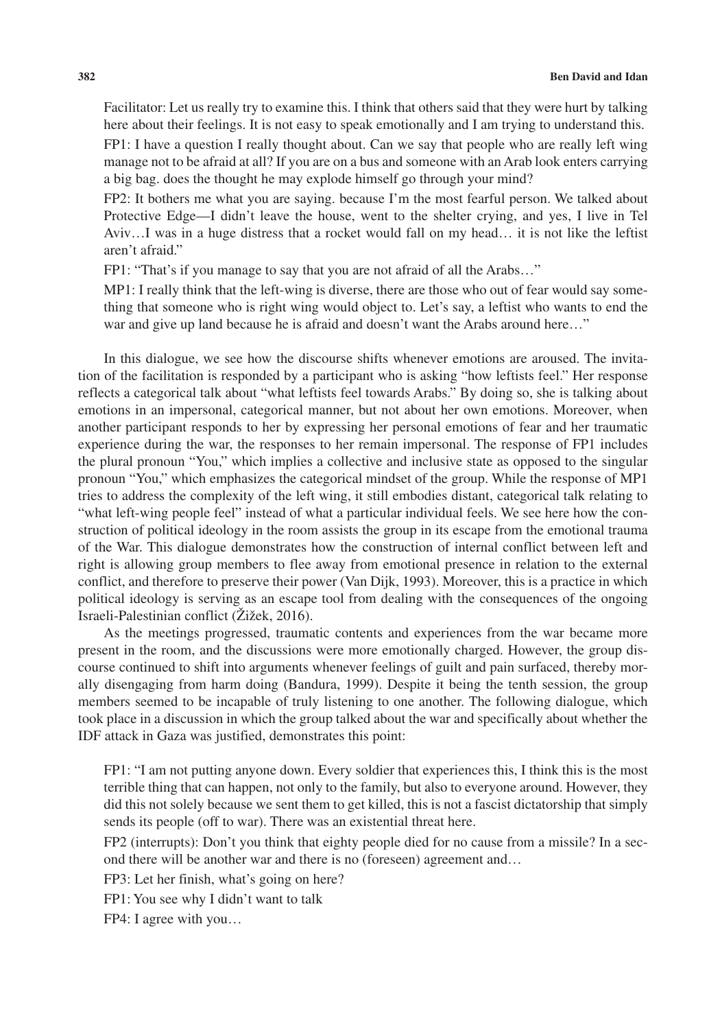Facilitator: Let us really try to examine this. I think that others said that they were hurt by talking here about their feelings. It is not easy to speak emotionally and I am trying to understand this.

FP1: I have a question I really thought about. Can we say that people who are really left wing manage not to be afraid at all? If you are on a bus and someone with an Arab look enters carrying a big bag. does the thought he may explode himself go through your mind?

FP2: It bothers me what you are saying. because I'm the most fearful person. We talked about Protective Edge—I didn't leave the house, went to the shelter crying, and yes, I live in Tel Aviv…I was in a huge distress that a rocket would fall on my head… it is not like the leftist aren't afraid."

FP1: "That's if you manage to say that you are not afraid of all the Arabs…"

MP1: I really think that the left-wing is diverse, there are those who out of fear would say something that someone who is right wing would object to. Let's say, a leftist who wants to end the war and give up land because he is afraid and doesn't want the Arabs around here…"

In this dialogue, we see how the discourse shifts whenever emotions are aroused. The invitation of the facilitation is responded by a participant who is asking "how leftists feel." Her response reflects a categorical talk about "what leftists feel towards Arabs." By doing so, she is talking about emotions in an impersonal, categorical manner, but not about her own emotions. Moreover, when another participant responds to her by expressing her personal emotions of fear and her traumatic experience during the war, the responses to her remain impersonal. The response of FP1 includes the plural pronoun "You," which implies a collective and inclusive state as opposed to the singular pronoun "You," which emphasizes the categorical mindset of the group. While the response of MP1 tries to address the complexity of the left wing, it still embodies distant, categorical talk relating to "what left-wing people feel" instead of what a particular individual feels. We see here how the construction of political ideology in the room assists the group in its escape from the emotional trauma of the War. This dialogue demonstrates how the construction of internal conflict between left and right is allowing group members to flee away from emotional presence in relation to the external conflict, and therefore to preserve their power (Van Dijk, 1993). Moreover, this is a practice in which political ideology is serving as an escape tool from dealing with the consequences of the ongoing Israeli-Palestinian conflict (Žižek, 2016).

As the meetings progressed, traumatic contents and experiences from the war became more present in the room, and the discussions were more emotionally charged. However, the group discourse continued to shift into arguments whenever feelings of guilt and pain surfaced, thereby morally disengaging from harm doing (Bandura, 1999). Despite it being the tenth session, the group members seemed to be incapable of truly listening to one another. The following dialogue, which took place in a discussion in which the group talked about the war and specifically about whether the IDF attack in Gaza was justified, demonstrates this point:

FP1: "I am not putting anyone down. Every soldier that experiences this, I think this is the most terrible thing that can happen, not only to the family, but also to everyone around. However, they did this not solely because we sent them to get killed, this is not a fascist dictatorship that simply sends its people (off to war). There was an existential threat here.

FP2 (interrupts): Don't you think that eighty people died for no cause from a missile? In a second there will be another war and there is no (foreseen) agreement and…

FP3: Let her finish, what's going on here?

FP1: You see why I didn't want to talk

FP4: I agree with you…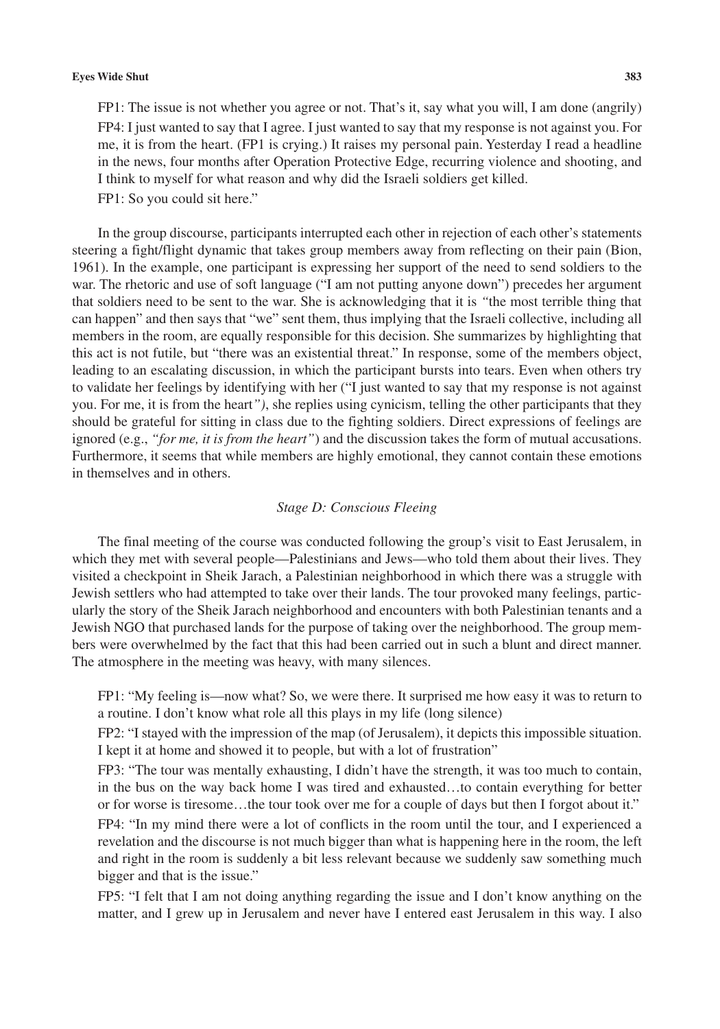FP1: The issue is not whether you agree or not. That's it, say what you will, I am done (angrily) FP4: I just wanted to say that I agree. I just wanted to say that my response is not against you. For me, it is from the heart. (FP1 is crying.) It raises my personal pain. Yesterday I read a headline in the news, four months after Operation Protective Edge, recurring violence and shooting, and I think to myself for what reason and why did the Israeli soldiers get killed. FP1: So you could sit here."

In the group discourse, participants interrupted each other in rejection of each other's statements steering a fight/flight dynamic that takes group members away from reflecting on their pain (Bion, 1961). In the example, one participant is expressing her support of the need to send soldiers to the war. The rhetoric and use of soft language ("I am not putting anyone down") precedes her argument that soldiers need to be sent to the war. She is acknowledging that it is *"*the most terrible thing that can happen" and then says that "we" sent them, thus implying that the Israeli collective, including all members in the room, are equally responsible for this decision. She summarizes by highlighting that this act is not futile, but "there was an existential threat." In response, some of the members object, leading to an escalating discussion, in which the participant bursts into tears. Even when others try to validate her feelings by identifying with her ("I just wanted to say that my response is not against you. For me, it is from the heart*")*, she replies using cynicism, telling the other participants that they should be grateful for sitting in class due to the fighting soldiers. Direct expressions of feelings are ignored (e.g., *"for me, it is from the heart"*) and the discussion takes the form of mutual accusations. Furthermore, it seems that while members are highly emotional, they cannot contain these emotions in themselves and in others.

## *Stage D: Conscious Fleeing*

The final meeting of the course was conducted following the group's visit to East Jerusalem, in which they met with several people—Palestinians and Jews—who told them about their lives. They visited a checkpoint in Sheik Jarach, a Palestinian neighborhood in which there was a struggle with Jewish settlers who had attempted to take over their lands. The tour provoked many feelings, particularly the story of the Sheik Jarach neighborhood and encounters with both Palestinian tenants and a Jewish NGO that purchased lands for the purpose of taking over the neighborhood. The group members were overwhelmed by the fact that this had been carried out in such a blunt and direct manner. The atmosphere in the meeting was heavy, with many silences.

FP1: "My feeling is—now what? So, we were there. It surprised me how easy it was to return to a routine. I don't know what role all this plays in my life (long silence)

FP2: "I stayed with the impression of the map (of Jerusalem), it depicts this impossible situation. I kept it at home and showed it to people, but with a lot of frustration"

FP3: "The tour was mentally exhausting, I didn't have the strength, it was too much to contain, in the bus on the way back home I was tired and exhausted…to contain everything for better or for worse is tiresome…the tour took over me for a couple of days but then I forgot about it."

FP4: "In my mind there were a lot of conflicts in the room until the tour, and I experienced a revelation and the discourse is not much bigger than what is happening here in the room, the left and right in the room is suddenly a bit less relevant because we suddenly saw something much bigger and that is the issue."

FP5: "I felt that I am not doing anything regarding the issue and I don't know anything on the matter, and I grew up in Jerusalem and never have I entered east Jerusalem in this way. I also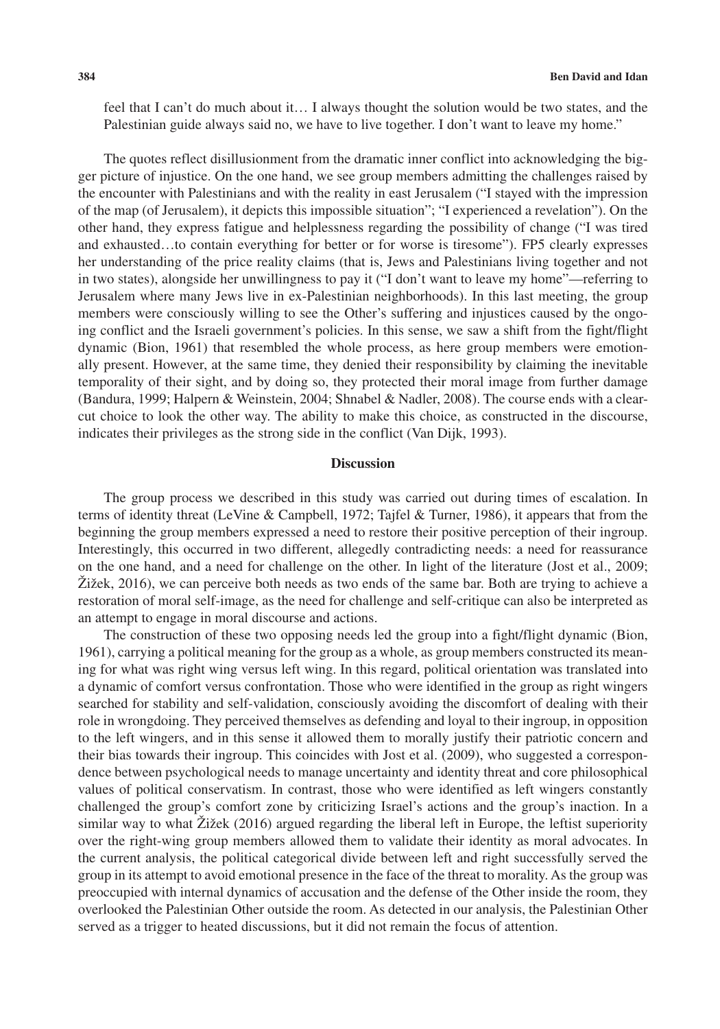feel that I can't do much about it… I always thought the solution would be two states, and the Palestinian guide always said no, we have to live together. I don't want to leave my home."

The quotes reflect disillusionment from the dramatic inner conflict into acknowledging the bigger picture of injustice. On the one hand, we see group members admitting the challenges raised by the encounter with Palestinians and with the reality in east Jerusalem ("I stayed with the impression of the map (of Jerusalem), it depicts this impossible situation"; "I experienced a revelation"). On the other hand, they express fatigue and helplessness regarding the possibility of change ("I was tired and exhausted…to contain everything for better or for worse is tiresome"). FP5 clearly expresses her understanding of the price reality claims (that is, Jews and Palestinians living together and not in two states), alongside her unwillingness to pay it ("I don't want to leave my home"—referring to Jerusalem where many Jews live in ex-Palestinian neighborhoods). In this last meeting, the group members were consciously willing to see the Other's suffering and injustices caused by the ongoing conflict and the Israeli government's policies. In this sense, we saw a shift from the fight/flight dynamic (Bion, 1961) that resembled the whole process, as here group members were emotionally present. However, at the same time, they denied their responsibility by claiming the inevitable temporality of their sight, and by doing so, they protected their moral image from further damage (Bandura, 1999; Halpern & Weinstein, 2004; Shnabel & Nadler, 2008). The course ends with a clearcut choice to look the other way. The ability to make this choice, as constructed in the discourse, indicates their privileges as the strong side in the conflict (Van Dijk, 1993).

## **Discussion**

The group process we described in this study was carried out during times of escalation. In terms of identity threat (LeVine & Campbell, 1972; Tajfel & Turner, 1986), it appears that from the beginning the group members expressed a need to restore their positive perception of their ingroup. Interestingly, this occurred in two different, allegedly contradicting needs: a need for reassurance on the one hand, and a need for challenge on the other. In light of the literature (Jost et al., 2009; Žižek, 2016), we can perceive both needs as two ends of the same bar. Both are trying to achieve a restoration of moral self-image, as the need for challenge and self-critique can also be interpreted as an attempt to engage in moral discourse and actions.

The construction of these two opposing needs led the group into a fight/flight dynamic (Bion, 1961), carrying a political meaning for the group as a whole, as group members constructed its meaning for what was right wing versus left wing. In this regard, political orientation was translated into a dynamic of comfort versus confrontation. Those who were identified in the group as right wingers searched for stability and self-validation, consciously avoiding the discomfort of dealing with their role in wrongdoing. They perceived themselves as defending and loyal to their ingroup, in opposition to the left wingers, and in this sense it allowed them to morally justify their patriotic concern and their bias towards their ingroup. This coincides with Jost et al. (2009), who suggested a correspondence between psychological needs to manage uncertainty and identity threat and core philosophical values of political conservatism. In contrast, those who were identified as left wingers constantly challenged the group's comfort zone by criticizing Israel's actions and the group's inaction. In a similar way to what Žižek (2016) argued regarding the liberal left in Europe, the leftist superiority over the right-wing group members allowed them to validate their identity as moral advocates. In the current analysis, the political categorical divide between left and right successfully served the group in its attempt to avoid emotional presence in the face of the threat to morality. As the group was preoccupied with internal dynamics of accusation and the defense of the Other inside the room, they overlooked the Palestinian Other outside the room. As detected in our analysis, the Palestinian Other served as a trigger to heated discussions, but it did not remain the focus of attention.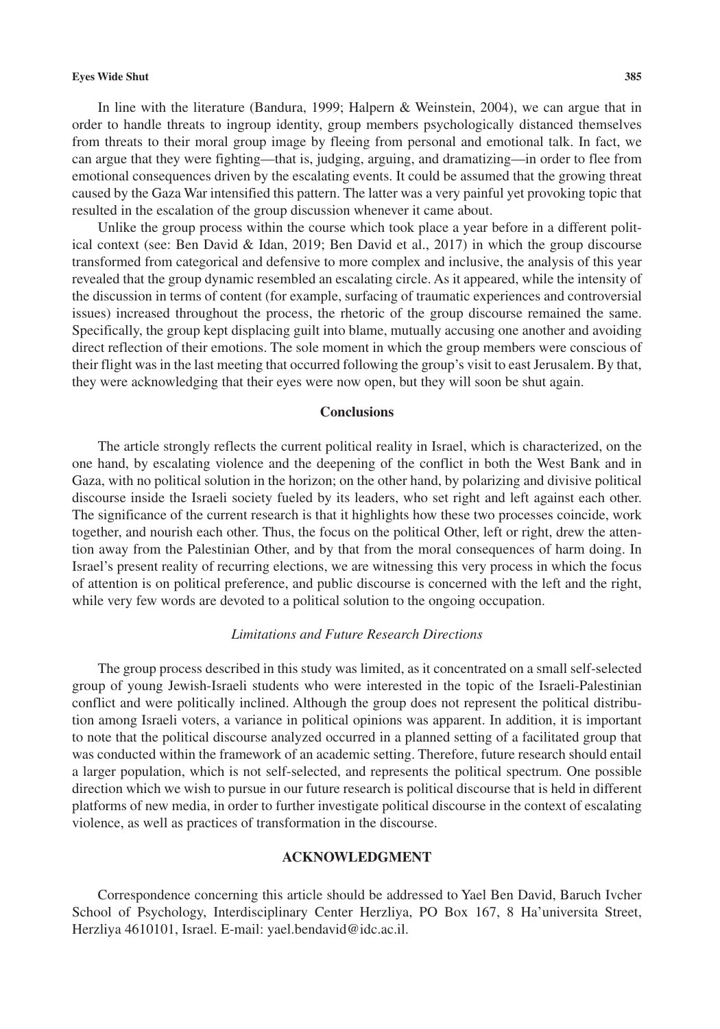In line with the literature (Bandura, 1999; Halpern & Weinstein, 2004), we can argue that in order to handle threats to ingroup identity, group members psychologically distanced themselves from threats to their moral group image by fleeing from personal and emotional talk. In fact, we can argue that they were fighting—that is, judging, arguing, and dramatizing—in order to flee from emotional consequences driven by the escalating events. It could be assumed that the growing threat caused by the Gaza War intensified this pattern. The latter was a very painful yet provoking topic that resulted in the escalation of the group discussion whenever it came about.

Unlike the group process within the course which took place a year before in a different political context (see: Ben David & Idan, 2019; Ben David et al., 2017) in which the group discourse transformed from categorical and defensive to more complex and inclusive, the analysis of this year revealed that the group dynamic resembled an escalating circle. As it appeared, while the intensity of the discussion in terms of content (for example, surfacing of traumatic experiences and controversial issues) increased throughout the process, the rhetoric of the group discourse remained the same. Specifically, the group kept displacing guilt into blame, mutually accusing one another and avoiding direct reflection of their emotions. The sole moment in which the group members were conscious of their flight was in the last meeting that occurred following the group's visit to east Jerusalem. By that, they were acknowledging that their eyes were now open, but they will soon be shut again.

#### **Conclusions**

The article strongly reflects the current political reality in Israel, which is characterized, on the one hand, by escalating violence and the deepening of the conflict in both the West Bank and in Gaza, with no political solution in the horizon; on the other hand, by polarizing and divisive political discourse inside the Israeli society fueled by its leaders, who set right and left against each other. The significance of the current research is that it highlights how these two processes coincide, work together, and nourish each other. Thus, the focus on the political Other, left or right, drew the attention away from the Palestinian Other, and by that from the moral consequences of harm doing. In Israel's present reality of recurring elections, we are witnessing this very process in which the focus of attention is on political preference, and public discourse is concerned with the left and the right, while very few words are devoted to a political solution to the ongoing occupation.

#### *Limitations and Future Research Directions*

The group process described in this study was limited, as it concentrated on a small self-selected group of young Jewish-Israeli students who were interested in the topic of the Israeli-Palestinian conflict and were politically inclined. Although the group does not represent the political distribution among Israeli voters, a variance in political opinions was apparent. In addition, it is important to note that the political discourse analyzed occurred in a planned setting of a facilitated group that was conducted within the framework of an academic setting. Therefore, future research should entail a larger population, which is not self-selected, and represents the political spectrum. One possible direction which we wish to pursue in our future research is political discourse that is held in different platforms of new media, in order to further investigate political discourse in the context of escalating violence, as well as practices of transformation in the discourse.

#### **ACKNOWLEDGMENT**

Correspondence concerning this article should be addressed to Yael Ben David, Baruch Ivcher School of Psychology, Interdisciplinary Center Herzliya, PO Box 167, 8 Ha'universita Street, Herzliya 4610101, Israel. E-mail: [yael.bendavid@idc.ac.il.](mailto:yael.bendavid@idc.ac.il)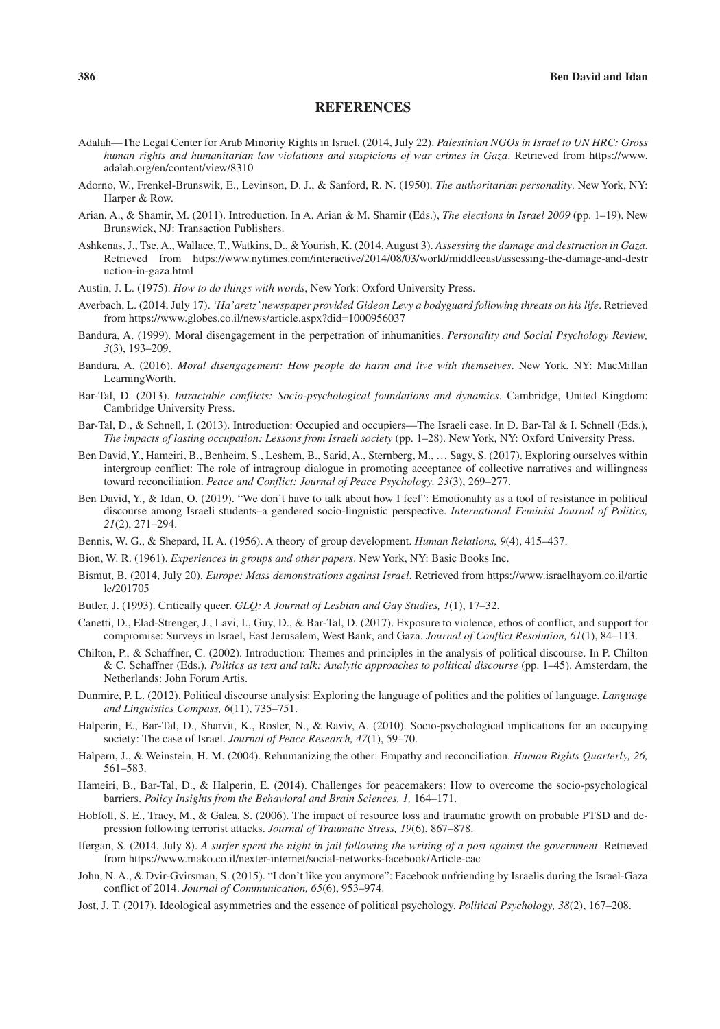#### **REFERENCES**

- Adalah—The Legal Center for Arab Minority Rights in Israel. (2014, July 22). *Palestinian NGOs in Israel to UN HRC: Gross human rights and humanitarian law violations and suspicions of war crimes in Gaza*. Retrieved from [https://www.](https://www.adalah.org/en/content/view/8310) [adalah.org/en/content/view/8310](https://www.adalah.org/en/content/view/8310)
- Adorno, W., Frenkel-Brunswik, E., Levinson, D. J., & Sanford, R. N. (1950). *The authoritarian personality*. New York, NY: Harper & Row.
- Arian, A., & Shamir, M. (2011). Introduction. In A. Arian & M. Shamir (Eds.), *The elections in Israel 2009* (pp. 1–19). New Brunswick, NJ: Transaction Publishers.
- Ashkenas, J., Tse, A., Wallace, T., Watkins, D., & Yourish, K. (2014, August 3). *Assessing the damage and destruction in Gaza*. Retrieved from [https://www.nytimes.com/interactive/2014/08/03/world/middleeast/assessing-the-damage-and-destr](https://www.nytimes.com/interactive/2014/08/03/world/middleeast/assessing-the-damage-and-destruction-in-gaza.html) [uction-in-gaza.html](https://www.nytimes.com/interactive/2014/08/03/world/middleeast/assessing-the-damage-and-destruction-in-gaza.html)
- Austin, J. L. (1975). *How to do things with words*, New York: Oxford University Press.
- Averbach, L. (2014, July 17). *'Ha'aretz' newspaper provided Gideon Levy a bodyguard following threats on his life*. Retrieved from<https://www.globes.co.il/news/article.aspx?did=1000956037>
- Bandura, A. (1999). Moral disengagement in the perpetration of inhumanities. *Personality and Social Psychology Review, 3*(3), 193–209.
- Bandura, A. (2016). *Moral disengagement: How people do harm and live with themselves*. New York, NY: MacMillan LearningWorth.
- Bar-Tal, D. (2013). *Intractable conflicts: Socio-psychological foundations and dynamics*. Cambridge, United Kingdom: Cambridge University Press.
- Bar-Tal, D., & Schnell, I. (2013). Introduction: Occupied and occupiers—The Israeli case. In D. Bar-Tal & I. Schnell (Eds.), *The impacts of lasting occupation: Lessons from Israeli society* (pp. 1–28). New York, NY: Oxford University Press.
- Ben David, Y., Hameiri, B., Benheim, S., Leshem, B., Sarid, A., Sternberg, M., … Sagy, S. (2017). Exploring ourselves within intergroup conflict: The role of intragroup dialogue in promoting acceptance of collective narratives and willingness toward reconciliation. *Peace and Conflict: Journal of Peace Psychology, 23*(3), 269–277.
- Ben David, Y., & Idan, O. (2019). "We don't have to talk about how I feel": Emotionality as a tool of resistance in political discourse among Israeli students–a gendered socio-linguistic perspective. *International Feminist Journal of Politics, 21*(2), 271–294.
- Bennis, W. G., & Shepard, H. A. (1956). A theory of group development. *Human Relations, 9*(4), 415–437.
- Bion, W. R. (1961). *Experiences in groups and other papers*. New York, NY: Basic Books Inc.
- Bismut, B. (2014, July 20). *Europe: Mass demonstrations against Israel*. Retrieved from [https://www.israelhayom.co.il/artic](https://www.israelhayom.co.il/article/201705) [le/201705](https://www.israelhayom.co.il/article/201705)
- Butler, J. (1993). Critically queer. *GLQ: A Journal of Lesbian and Gay Studies, 1*(1), 17–32.
- Canetti, D., Elad-Strenger, J., Lavi, I., Guy, D., & Bar-Tal, D. (2017). Exposure to violence, ethos of conflict, and support for compromise: Surveys in Israel, East Jerusalem, West Bank, and Gaza. *Journal of Conflict Resolution, 61*(1), 84–113.
- Chilton, P., & Schaffner, C. (2002). Introduction: Themes and principles in the analysis of political discourse. In P. Chilton & C. Schaffner (Eds.), *Politics as text and talk: Analytic approaches to political discourse* (pp. 1–45). Amsterdam, the Netherlands: John Forum Artis.
- Dunmire, P. L. (2012). Political discourse analysis: Exploring the language of politics and the politics of language. *Language and Linguistics Compass, 6*(11), 735–751.
- Halperin, E., Bar-Tal, D., Sharvit, K., Rosler, N., & Raviv, A. (2010). Socio-psychological implications for an occupying society: The case of Israel. *Journal of Peace Research, 47*(1), 59–70.
- Halpern, J., & Weinstein, H. M. (2004). Rehumanizing the other: Empathy and reconciliation. *Human Rights Quarterly, 26,* 561–583.
- Hameiri, B., Bar-Tal, D., & Halperin, E. (2014). Challenges for peacemakers: How to overcome the socio-psychological barriers. *Policy Insights from the Behavioral and Brain Sciences, 1,* 164–171.
- Hobfoll, S. E., Tracy, M., & Galea, S. (2006). The impact of resource loss and traumatic growth on probable PTSD and depression following terrorist attacks. *Journal of Traumatic Stress, 19*(6), 867–878.
- Ifergan, S. (2014, July 8). *A surfer spent the night in jail following the writing of a post against the government*. Retrieved from<https://www.mako.co.il/nexter-internet/social-networks-facebook/Article-cac>
- John, N. A., & Dvir-Gvirsman, S. (2015). "I don't like you anymore": Facebook unfriending by Israelis during the Israel-Gaza conflict of 2014. *Journal of Communication, 65*(6), 953–974.
- Jost, J. T. (2017). Ideological asymmetries and the essence of political psychology. *Political Psychology, 38*(2), 167–208.